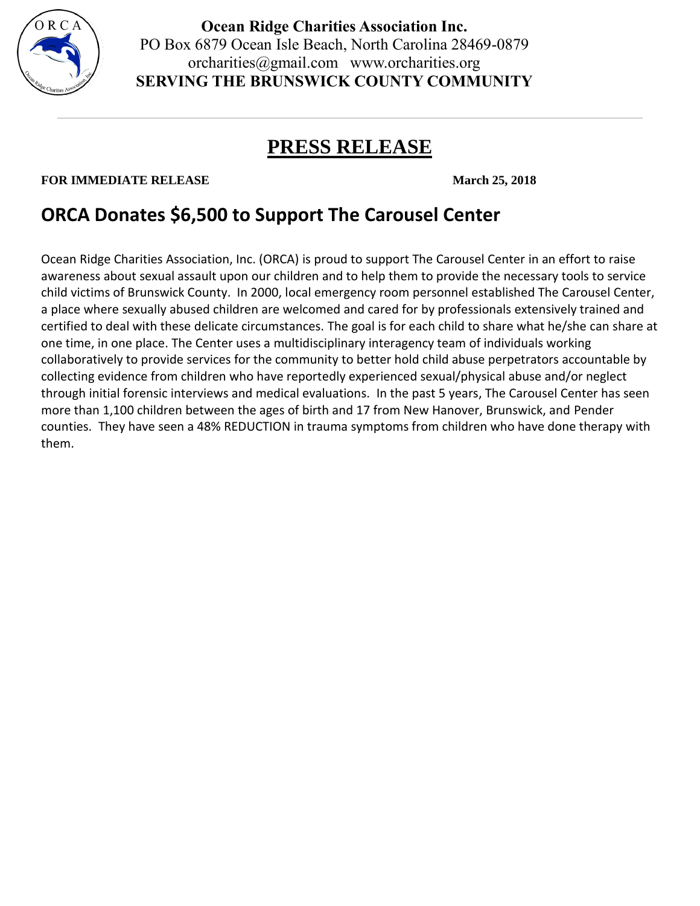

**Ocean Ridge Charities Association Inc.** PO Box 6879 Ocean Isle Beach, North Carolina 28469-0879 orcharities@gmail.com www.orcharities.org **SERVING THE BRUNSWICK COUNTY COMMUNITY**

## **PRESS RELEASE**

## **FOR IMMEDIATE RELEASE March 25, 2018**

## **ORCA Donates \$6,500 to Support The Carousel Center**

Ocean Ridge Charities Association, Inc. (ORCA) is proud to support The Carousel Center in an effort to raise awareness about sexual assault upon our children and to help them to provide the necessary tools to service child victims of Brunswick County. In 2000, local emergency room personnel established The Carousel Center, a place where sexually abused children are welcomed and cared for by professionals extensively trained and certified to deal with these delicate circumstances. The goal is for each child to share what he/she can share at one time, in one place. The Center uses a multidisciplinary interagency team of individuals working collaboratively to provide services for the community to better hold child abuse perpetrators accountable by collecting evidence from children who have reportedly experienced sexual/physical abuse and/or neglect through initial forensic interviews and medical evaluations. In the past 5 years, The Carousel Center has seen more than 1,100 children between the ages of birth and 17 from New Hanover, Brunswick, and Pender counties. They have seen a 48% REDUCTION in trauma symptoms from children who have done therapy with them.